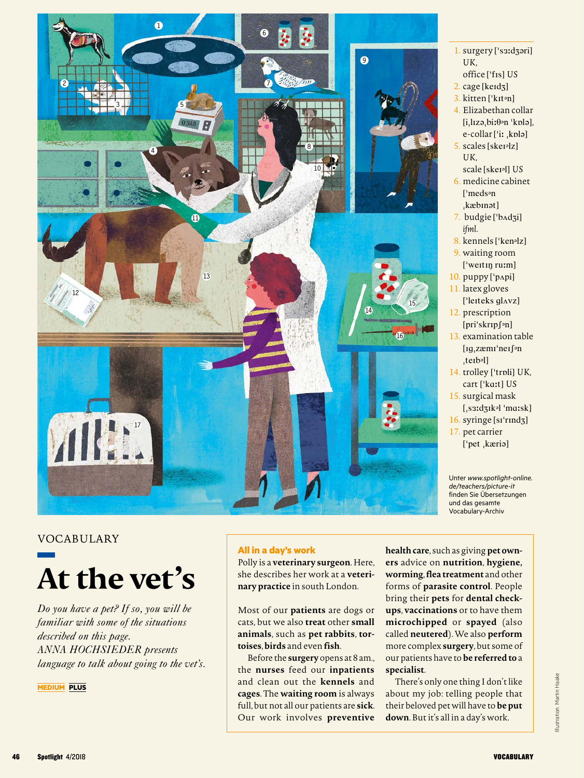

- 1. surgery ['s3ːdʒəri] *UK*,
- office ['f<sub>IS</sub>] US
- $2. \text{ cage}$  [keId $3$ ] 3. kitten ['kɪton]
- 
- 4. Elizabethan collar  $[i, l$ Izə $, bi: \theta$ <sup>o</sup>n 'kplə], e-collar ['iː ,kplə]
- $5.$  scales [sker<sup>[2]</sup>] *UK*,
	- scale [skeI&l] *US*
- 6. medicine cabinet ['medson kæbinət]
- 7. budgie ['bAdzi] *ifml.*
- 8. kennels ['ken<sup>3</sup>]
- 9. waiting room ['weitin ru:m]
- $10.$  puppy  $['p$ <sub>npi</sub> $]$ 11. latex gloves
- $[$ 'leiteks gl $\Delta$ vz] 12. prescription
- $[\pi i's k r p \cdot n]$
- 13. examination table  $[ig_1zæmi'nei]$ <sup>on</sup>  $_t$ te $b$ <sup>[]</sup>
- 14. trolley ['troli] UK, cart ['ka:t] US
- 15. surgical mask  $[$ , s $3:$ d $3$ Ik<sup>o</sup>l 'ma:sk]
- 16. syringe [sI'rInd3] 17. pet carrier ['pet kæria]

Unter *www.spotlight-online. de/teachers/picture-it* finden Sie Übersetzungen und das gesamte Vocabulary-Archiv

# VOCABULARY



*Do you have a pet? If so, you will be familiar with some of the situations described on this page. ANNA HOCHSIEDER presents language to talk about going to the vet's.*

**MEDIUM PLUS**

## **All in a day's work**

Polly is a **veterinary surgeon**. Here, she describes her work at a **veterinary practice** in south London.

Most of our **patients** are dogs or cats, but we also **treat** other **small animals**, such as **pet rabbits**, **tortoises**, **birds** and even **fish**.

Before the **surgery** opens at 8 am., the **nurses** feed our **inpatients** and clean out the **kennels** and **cages**. The **waiting room** is always full, but not all our patients are **sick**. Our work involves **preventive** 

**health care**, such as giving **pet owners** advice on **nutrition**, **hygiene, worming**, **flea treatment** and other forms of **parasite control**. People bring their **pets** for **dental checkups**, **vaccinations** or to have them **microchipped** or **spayed** (also called **neutered**). We also **perform** more complex **surgery**, but some of our patients have to **be referred to** a **specialist**.

There's only one thing I don't like about my job: telling people that their beloved pet will have to **be put down**. But it's all in a day's work.